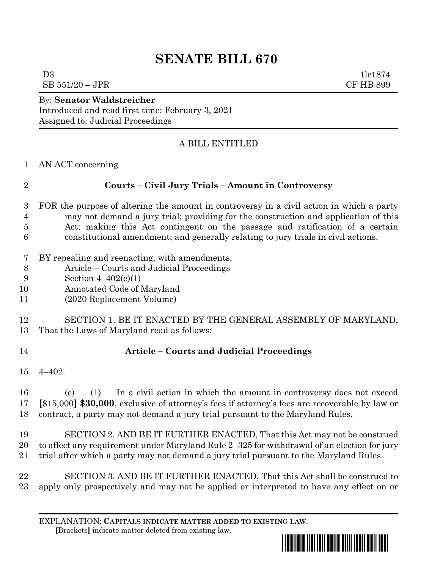## **SENATE BILL 670**

 $D3$  1lr1874  $SB 551/20 - JPR$  CF HB 899

By: **Senator Waldstreicher** Introduced and read first time: February 3, 2021 Assigned to: Judicial Proceedings

## A BILL ENTITLED

AN ACT concerning

- FOR the purpose of altering the amount in controversy in a civil action in which a party may not demand a jury trial; providing for the construction and application of this Act; making this Act contingent on the passage and ratification of a certain constitutional amendment; and generally relating to jury trials in civil actions.
- BY repealing and reenacting, with amendments,
- Article Courts and Judicial Proceedings
- Section 4–402(e)(1)
- Annotated Code of Maryland
- (2020 Replacement Volume)
- SECTION 1. BE IT ENACTED BY THE GENERAL ASSEMBLY OF MARYLAND, That the Laws of Maryland read as follows:
- 

## **Article – Courts and Judicial Proceedings**

4–402.

 (e) (1) In a civil action in which the amount in controversy does not exceed **[**\$15,000**] \$30,000**, exclusive of attorney's fees if attorney's fees are recoverable by law or contract, a party may not demand a jury trial pursuant to the Maryland Rules.

- SECTION 2. AND BE IT FURTHER ENACTED, That this Act may not be construed to affect any requirement under Maryland Rule 2–325 for withdrawal of an election for jury trial after which a party may not demand a jury trial pursuant to the Maryland Rules.
- SECTION 3. AND BE IT FURTHER ENACTED, That this Act shall be construed to apply only prospectively and may not be applied or interpreted to have any effect on or

EXPLANATION: **CAPITALS INDICATE MATTER ADDED TO EXISTING LAW**.  **[**Brackets**]** indicate matter deleted from existing law.